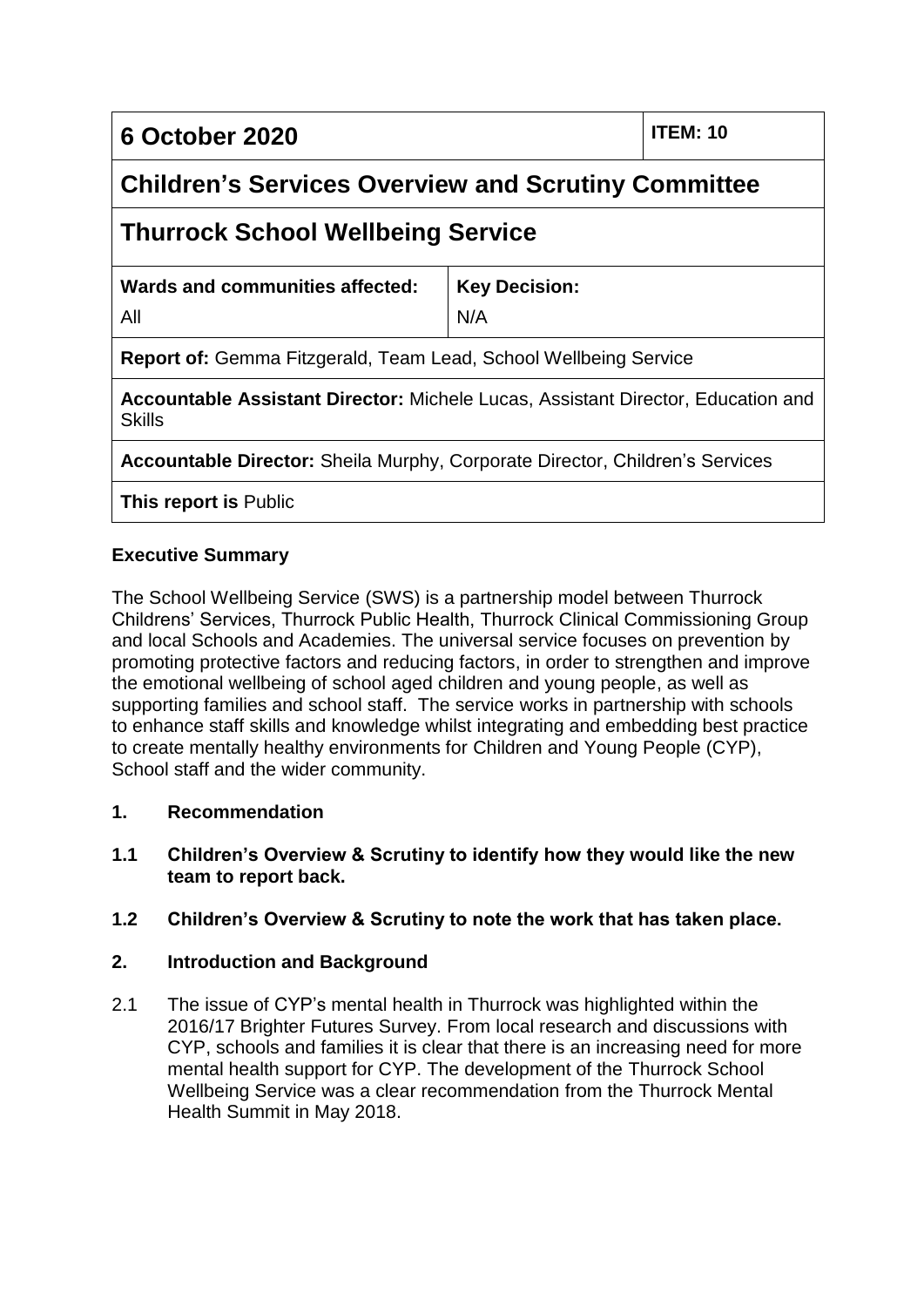**6 October 2020 ITEM: 10**

# **Children's Services Overview and Scrutiny Committee**

# **Thurrock School Wellbeing Service**

| Wards and communities affected: | <b>Key Decision:</b> |
|---------------------------------|----------------------|
| All                             | N/A                  |

**Report of:** Gemma Fitzgerald, Team Lead, School Wellbeing Service

**Accountable Assistant Director:** Michele Lucas, Assistant Director, Education and **Skills** 

**Accountable Director:** Sheila Murphy, Corporate Director, Children's Services

**This report is** Public

# **Executive Summary**

The School Wellbeing Service (SWS) is a partnership model between Thurrock Childrens' Services, Thurrock Public Health, Thurrock Clinical Commissioning Group and local Schools and Academies. The universal service focuses on prevention by promoting protective factors and reducing factors, in order to strengthen and improve the emotional wellbeing of school aged children and young people, as well as supporting families and school staff. The service works in partnership with schools to enhance staff skills and knowledge whilst integrating and embedding best practice to create mentally healthy environments for Children and Young People (CYP), School staff and the wider community.

# **1. Recommendation**

**1.1 Children's Overview & Scrutiny to identify how they would like the new team to report back.**

# **1.2 Children's Overview & Scrutiny to note the work that has taken place.**

# **2. Introduction and Background**

2.1 The issue of CYP's mental health in Thurrock was highlighted within the 2016/17 Brighter Futures Survey. From local research and discussions with CYP, schools and families it is clear that there is an increasing need for more mental health support for CYP. The development of the Thurrock School Wellbeing Service was a clear recommendation from the Thurrock Mental Health Summit in May 2018.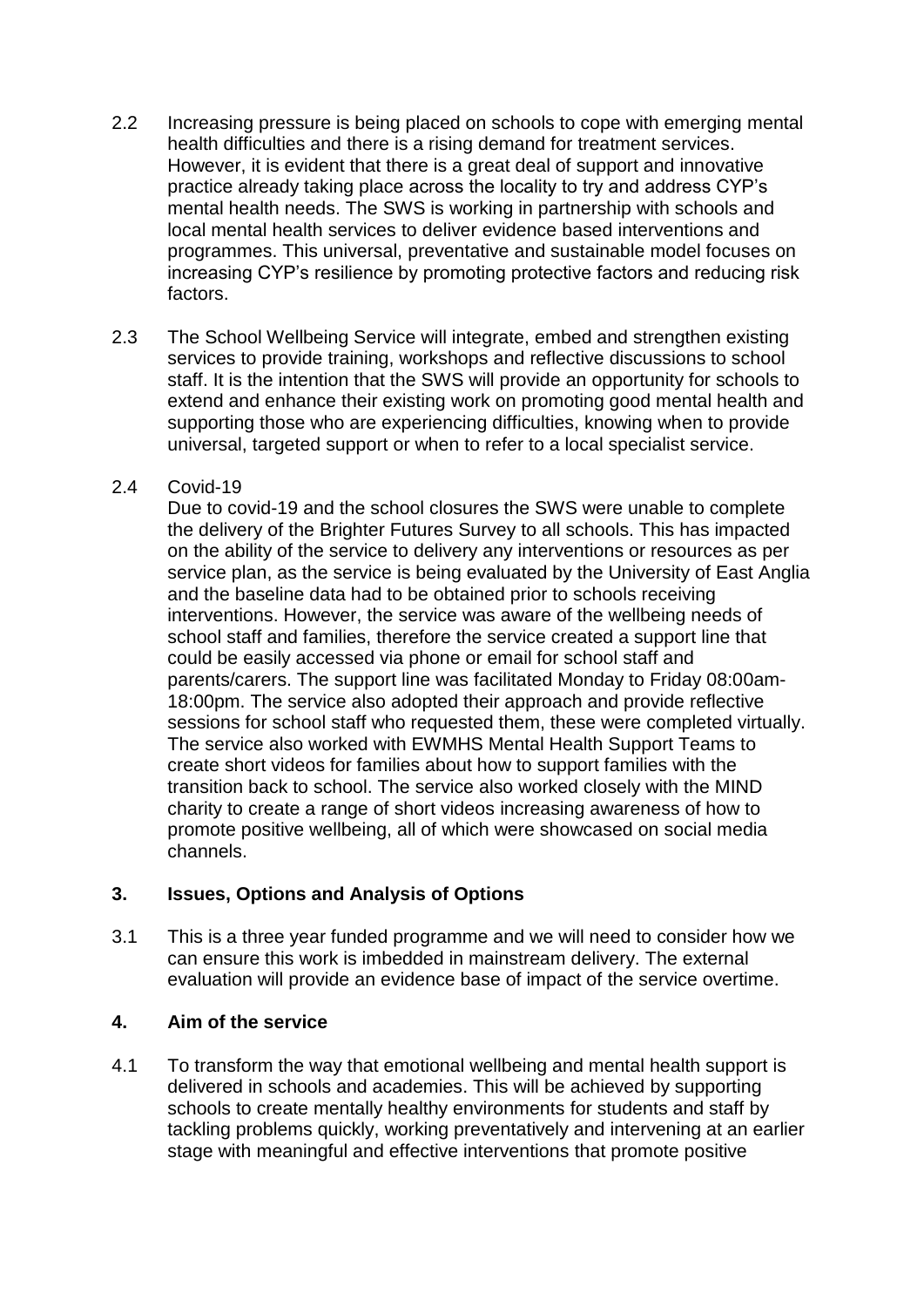- 2.2 Increasing pressure is being placed on schools to cope with emerging mental health difficulties and there is a rising demand for treatment services. However, it is evident that there is a great deal of support and innovative practice already taking place across the locality to try and address CYP's mental health needs. The SWS is working in partnership with schools and local mental health services to deliver evidence based interventions and programmes. This universal, preventative and sustainable model focuses on increasing CYP's resilience by promoting protective factors and reducing risk factors.
- 2.3 The School Wellbeing Service will integrate, embed and strengthen existing services to provide training, workshops and reflective discussions to school staff. It is the intention that the SWS will provide an opportunity for schools to extend and enhance their existing work on promoting good mental health and supporting those who are experiencing difficulties, knowing when to provide universal, targeted support or when to refer to a local specialist service.

### 2.4 Covid-19

Due to covid-19 and the school closures the SWS were unable to complete the delivery of the Brighter Futures Survey to all schools. This has impacted on the ability of the service to delivery any interventions or resources as per service plan, as the service is being evaluated by the University of East Anglia and the baseline data had to be obtained prior to schools receiving interventions. However, the service was aware of the wellbeing needs of school staff and families, therefore the service created a support line that could be easily accessed via phone or email for school staff and parents/carers. The support line was facilitated Monday to Friday 08:00am-18:00pm. The service also adopted their approach and provide reflective sessions for school staff who requested them, these were completed virtually. The service also worked with EWMHS Mental Health Support Teams to create short videos for families about how to support families with the transition back to school. The service also worked closely with the MIND charity to create a range of short videos increasing awareness of how to promote positive wellbeing, all of which were showcased on social media channels.

# **3. Issues, Options and Analysis of Options**

3.1 This is a three year funded programme and we will need to consider how we can ensure this work is imbedded in mainstream delivery. The external evaluation will provide an evidence base of impact of the service overtime.

### **4. Aim of the service**

4.1 To transform the way that emotional wellbeing and mental health support is delivered in schools and academies. This will be achieved by supporting schools to create mentally healthy environments for students and staff by tackling problems quickly, working preventatively and intervening at an earlier stage with meaningful and effective interventions that promote positive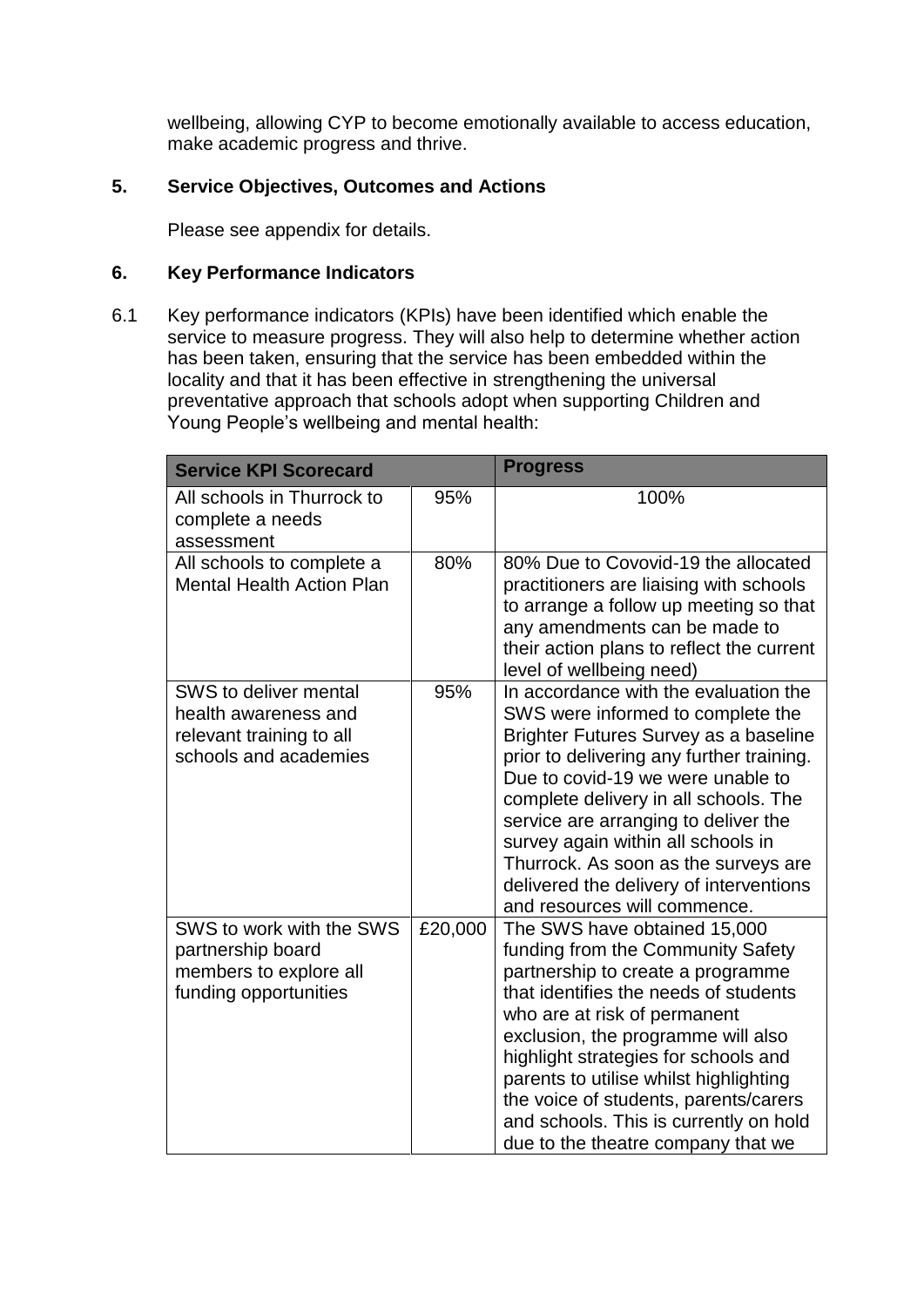wellbeing, allowing CYP to become emotionally available to access education, make academic progress and thrive.

# **5. Service Objectives, Outcomes and Actions**

Please see appendix for details.

### **6. Key Performance Indicators**

6.1 Key performance indicators (KPIs) have been identified which enable the service to measure progress. They will also help to determine whether action has been taken, ensuring that the service has been embedded within the locality and that it has been effective in strengthening the universal preventative approach that schools adopt when supporting Children and Young People's wellbeing and mental health:

| <b>Service KPI Scorecard</b>                                                                       |         | <b>Progress</b>                                                                                                                                                                                                                                                                                                                                                                                                                                 |
|----------------------------------------------------------------------------------------------------|---------|-------------------------------------------------------------------------------------------------------------------------------------------------------------------------------------------------------------------------------------------------------------------------------------------------------------------------------------------------------------------------------------------------------------------------------------------------|
| All schools in Thurrock to<br>complete a needs<br>assessment                                       | 95%     | 100%                                                                                                                                                                                                                                                                                                                                                                                                                                            |
| All schools to complete a<br><b>Mental Health Action Plan</b>                                      | 80%     | 80% Due to Covovid-19 the allocated<br>practitioners are liaising with schools<br>to arrange a follow up meeting so that<br>any amendments can be made to<br>their action plans to reflect the current<br>level of wellbeing need)                                                                                                                                                                                                              |
| SWS to deliver mental<br>health awareness and<br>relevant training to all<br>schools and academies | 95%     | In accordance with the evaluation the<br>SWS were informed to complete the<br>Brighter Futures Survey as a baseline<br>prior to delivering any further training.<br>Due to covid-19 we were unable to<br>complete delivery in all schools. The<br>service are arranging to deliver the<br>survey again within all schools in<br>Thurrock. As soon as the surveys are<br>delivered the delivery of interventions<br>and resources will commence. |
| SWS to work with the SWS<br>partnership board<br>members to explore all<br>funding opportunities   | £20,000 | The SWS have obtained 15,000<br>funding from the Community Safety<br>partnership to create a programme<br>that identifies the needs of students<br>who are at risk of permanent<br>exclusion, the programme will also<br>highlight strategies for schools and<br>parents to utilise whilst highlighting<br>the voice of students, parents/carers<br>and schools. This is currently on hold<br>due to the theatre company that we                |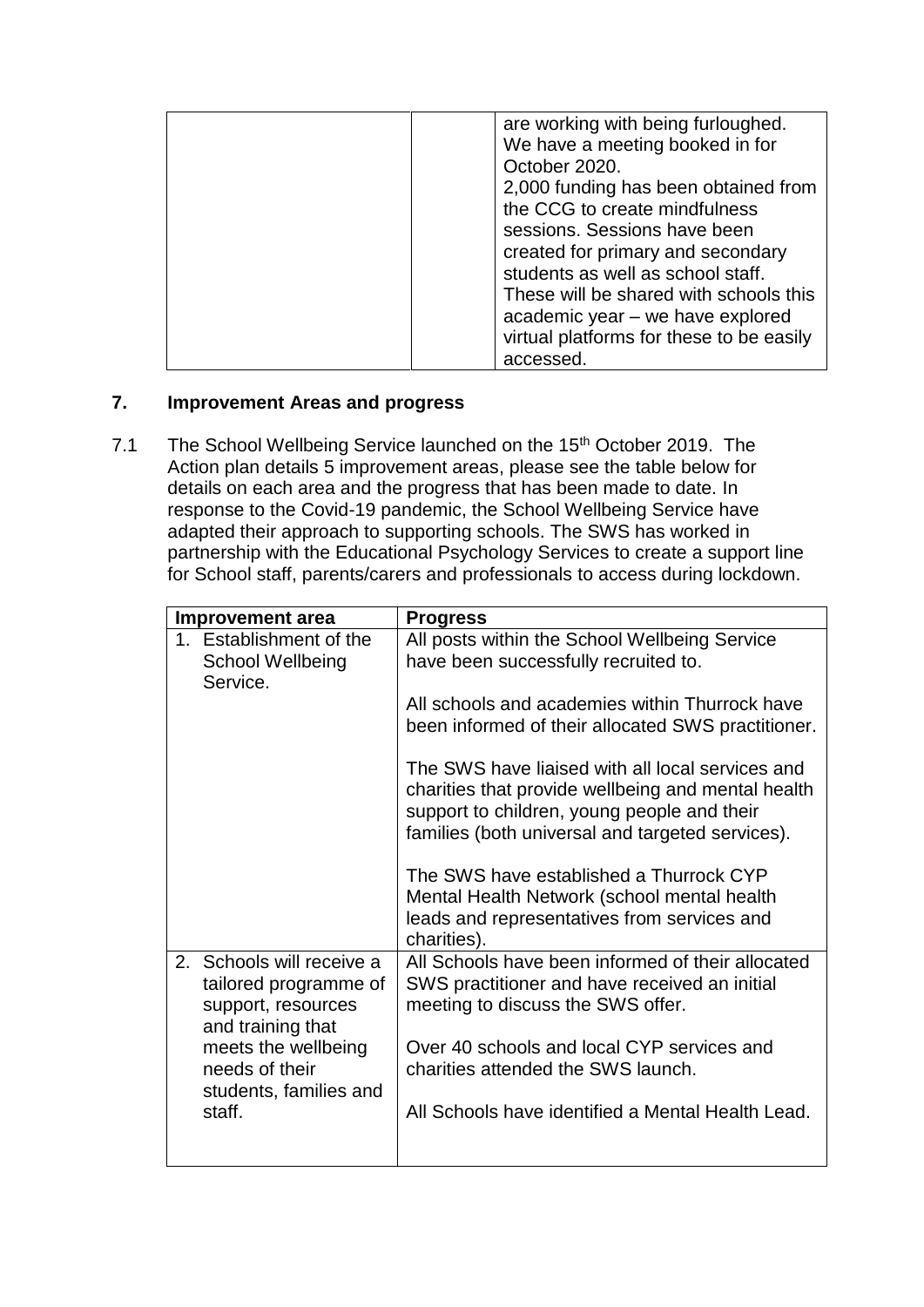| are working with being furloughed.               |
|--------------------------------------------------|
| We have a meeting booked in for<br>October 2020. |
|                                                  |
| 2,000 funding has been obtained from             |
| the CCG to create mindfulness                    |
| sessions. Sessions have been                     |
| created for primary and secondary                |
| students as well as school staff.                |
| These will be shared with schools this           |
| academic year – we have explored                 |
| virtual platforms for these to be easily         |
| accessed.                                        |

# **7. Improvement Areas and progress**

7.1 The School Wellbeing Service launched on the 15<sup>th</sup> October 2019. The Action plan details 5 improvement areas, please see the table below for details on each area and the progress that has been made to date. In response to the Covid-19 pandemic, the School Wellbeing Service have adapted their approach to supporting schools. The SWS has worked in partnership with the Educational Psychology Services to create a support line for School staff, parents/carers and professionals to access during lockdown.

| Improvement area                                                                              | <b>Progress</b>                                                                                                                                                                                           |
|-----------------------------------------------------------------------------------------------|-----------------------------------------------------------------------------------------------------------------------------------------------------------------------------------------------------------|
| 1. Establishment of the<br><b>School Wellbeing</b><br>Service.                                | All posts within the School Wellbeing Service<br>have been successfully recruited to.                                                                                                                     |
|                                                                                               | All schools and academies within Thurrock have<br>been informed of their allocated SWS practitioner.                                                                                                      |
|                                                                                               | The SWS have liaised with all local services and<br>charities that provide wellbeing and mental health<br>support to children, young people and their<br>families (both universal and targeted services). |
|                                                                                               | The SWS have established a Thurrock CYP<br>Mental Health Network (school mental health<br>leads and representatives from services and<br>charities).                                                      |
| 2. Schools will receive a<br>tailored programme of<br>support, resources<br>and training that | All Schools have been informed of their allocated<br>SWS practitioner and have received an initial<br>meeting to discuss the SWS offer.                                                                   |
| meets the wellbeing<br>needs of their<br>students, families and                               | Over 40 schools and local CYP services and<br>charities attended the SWS launch.                                                                                                                          |
| staff.                                                                                        | All Schools have identified a Mental Health Lead.                                                                                                                                                         |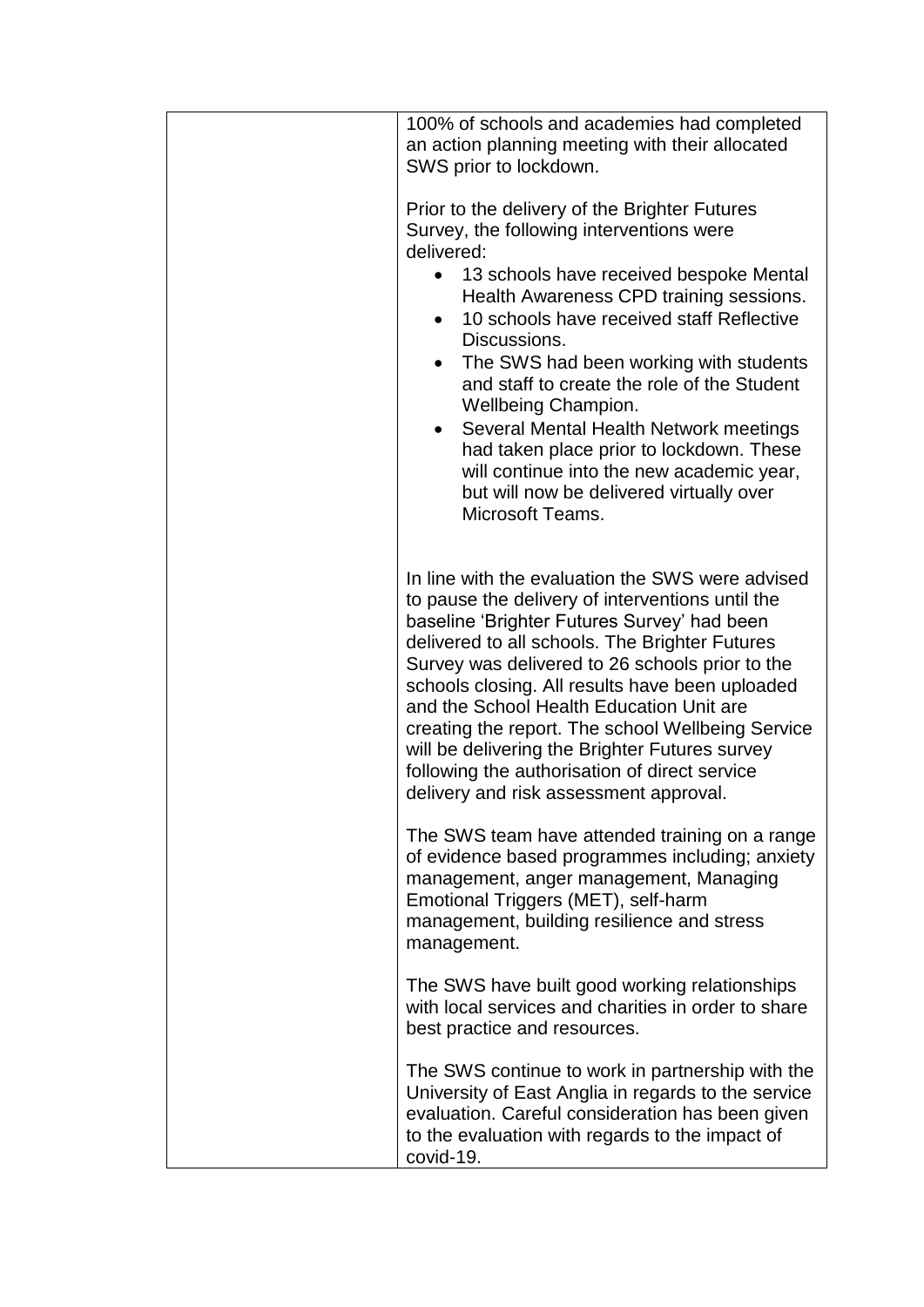| 100% of schools and academies had completed<br>an action planning meeting with their allocated<br>SWS prior to lockdown.<br>Prior to the delivery of the Brighter Futures<br>Survey, the following interventions were<br>delivered:<br>13 schools have received bespoke Mental<br>$\bullet$<br>Health Awareness CPD training sessions.<br>10 schools have received staff Reflective<br>$\bullet$<br>Discussions.<br>The SWS had been working with students<br>and staff to create the role of the Student<br><b>Wellbeing Champion.</b><br>Several Mental Health Network meetings<br>had taken place prior to lockdown. These<br>will continue into the new academic year,<br>but will now be delivered virtually over<br>Microsoft Teams. |
|--------------------------------------------------------------------------------------------------------------------------------------------------------------------------------------------------------------------------------------------------------------------------------------------------------------------------------------------------------------------------------------------------------------------------------------------------------------------------------------------------------------------------------------------------------------------------------------------------------------------------------------------------------------------------------------------------------------------------------------------|
| In line with the evaluation the SWS were advised<br>to pause the delivery of interventions until the<br>baseline 'Brighter Futures Survey' had been<br>delivered to all schools. The Brighter Futures<br>Survey was delivered to 26 schools prior to the<br>schools closing. All results have been uploaded<br>and the School Health Education Unit are<br>creating the report. The school Wellbeing Service<br>will be delivering the Brighter Futures survey<br>following the authorisation of direct service<br>delivery and risk assessment approval.                                                                                                                                                                                  |
| The SWS team have attended training on a range<br>of evidence based programmes including; anxiety<br>management, anger management, Managing<br>Emotional Triggers (MET), self-harm<br>management, building resilience and stress<br>management.                                                                                                                                                                                                                                                                                                                                                                                                                                                                                            |
| The SWS have built good working relationships<br>with local services and charities in order to share<br>best practice and resources.                                                                                                                                                                                                                                                                                                                                                                                                                                                                                                                                                                                                       |
| The SWS continue to work in partnership with the<br>University of East Anglia in regards to the service<br>evaluation. Careful consideration has been given<br>to the evaluation with regards to the impact of<br>covid-19.                                                                                                                                                                                                                                                                                                                                                                                                                                                                                                                |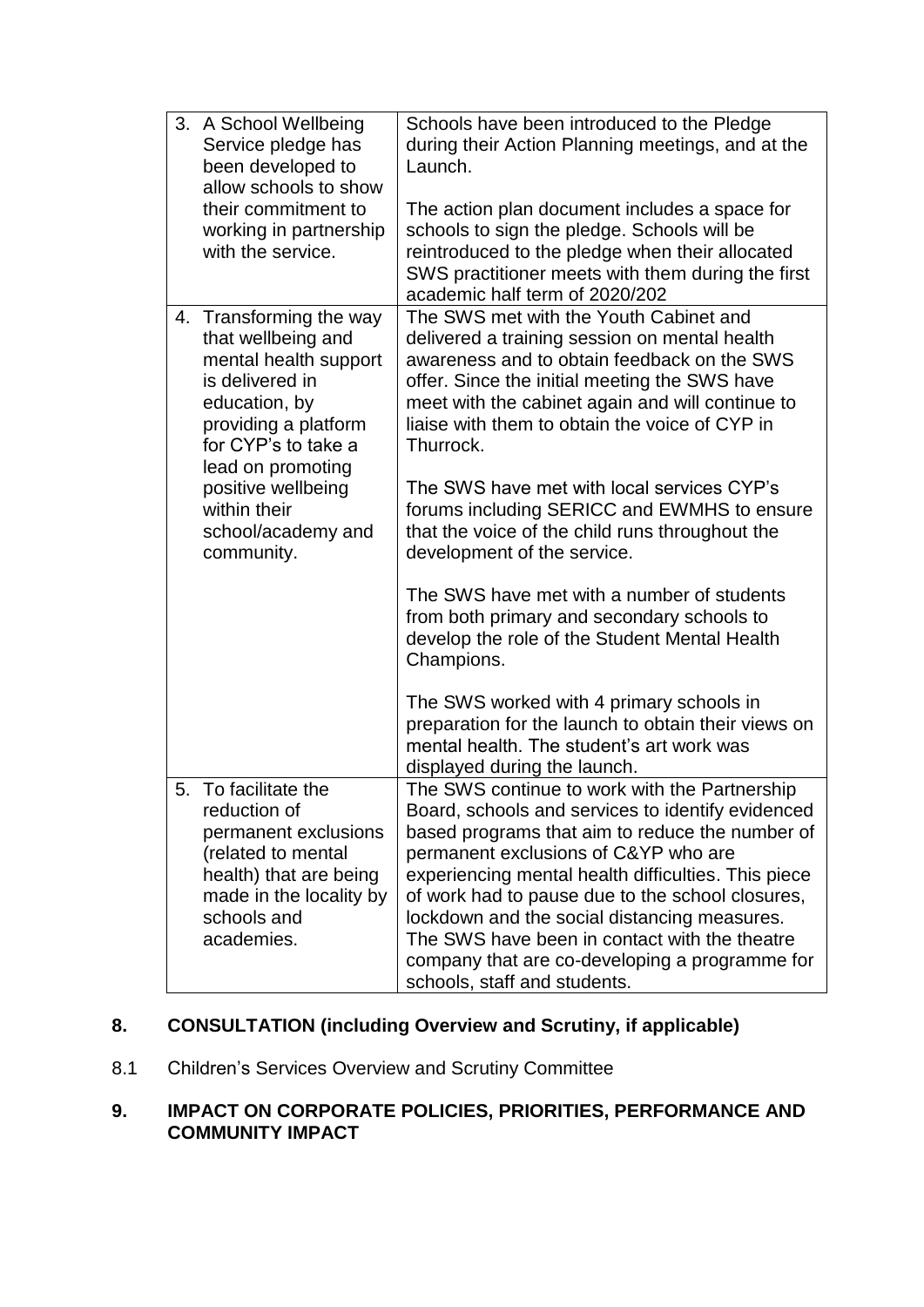|    | 3. A School Wellbeing<br>Service pledge has<br>been developed to<br>allow schools to show<br>their commitment to<br>working in partnership<br>with the service.             | Schools have been introduced to the Pledge<br>during their Action Planning meetings, and at the<br>Launch.<br>The action plan document includes a space for<br>schools to sign the pledge. Schools will be<br>reintroduced to the pledge when their allocated<br>SWS practitioner meets with them during the first<br>academic half term of 2020/202                                                                                                                                        |
|----|-----------------------------------------------------------------------------------------------------------------------------------------------------------------------------|---------------------------------------------------------------------------------------------------------------------------------------------------------------------------------------------------------------------------------------------------------------------------------------------------------------------------------------------------------------------------------------------------------------------------------------------------------------------------------------------|
| 4. | Transforming the way<br>that wellbeing and<br>mental health support<br>is delivered in<br>education, by<br>providing a platform<br>for CYP's to take a<br>lead on promoting | The SWS met with the Youth Cabinet and<br>delivered a training session on mental health<br>awareness and to obtain feedback on the SWS<br>offer. Since the initial meeting the SWS have<br>meet with the cabinet again and will continue to<br>liaise with them to obtain the voice of CYP in<br>Thurrock.                                                                                                                                                                                  |
|    | positive wellbeing<br>within their<br>school/academy and<br>community.                                                                                                      | The SWS have met with local services CYP's<br>forums including SERICC and EWMHS to ensure<br>that the voice of the child runs throughout the<br>development of the service.                                                                                                                                                                                                                                                                                                                 |
|    |                                                                                                                                                                             | The SWS have met with a number of students<br>from both primary and secondary schools to<br>develop the role of the Student Mental Health<br>Champions.                                                                                                                                                                                                                                                                                                                                     |
|    |                                                                                                                                                                             | The SWS worked with 4 primary schools in<br>preparation for the launch to obtain their views on<br>mental health. The student's art work was<br>displayed during the launch.                                                                                                                                                                                                                                                                                                                |
|    | 5. To facilitate the<br>reduction of<br>permanent exclusions<br>(related to mental<br>health) that are being<br>made in the locality by<br>schools and<br>academies.        | The SWS continue to work with the Partnership<br>Board, schools and services to identify evidenced<br>based programs that aim to reduce the number of<br>permanent exclusions of C&YP who are<br>experiencing mental health difficulties. This piece<br>of work had to pause due to the school closures,<br>lockdown and the social distancing measures.<br>The SWS have been in contact with the theatre<br>company that are co-developing a programme for<br>schools, staff and students. |

# **8. CONSULTATION (including Overview and Scrutiny, if applicable)**

8.1 Children's Services Overview and Scrutiny Committee

# **9. IMPACT ON CORPORATE POLICIES, PRIORITIES, PERFORMANCE AND COMMUNITY IMPACT**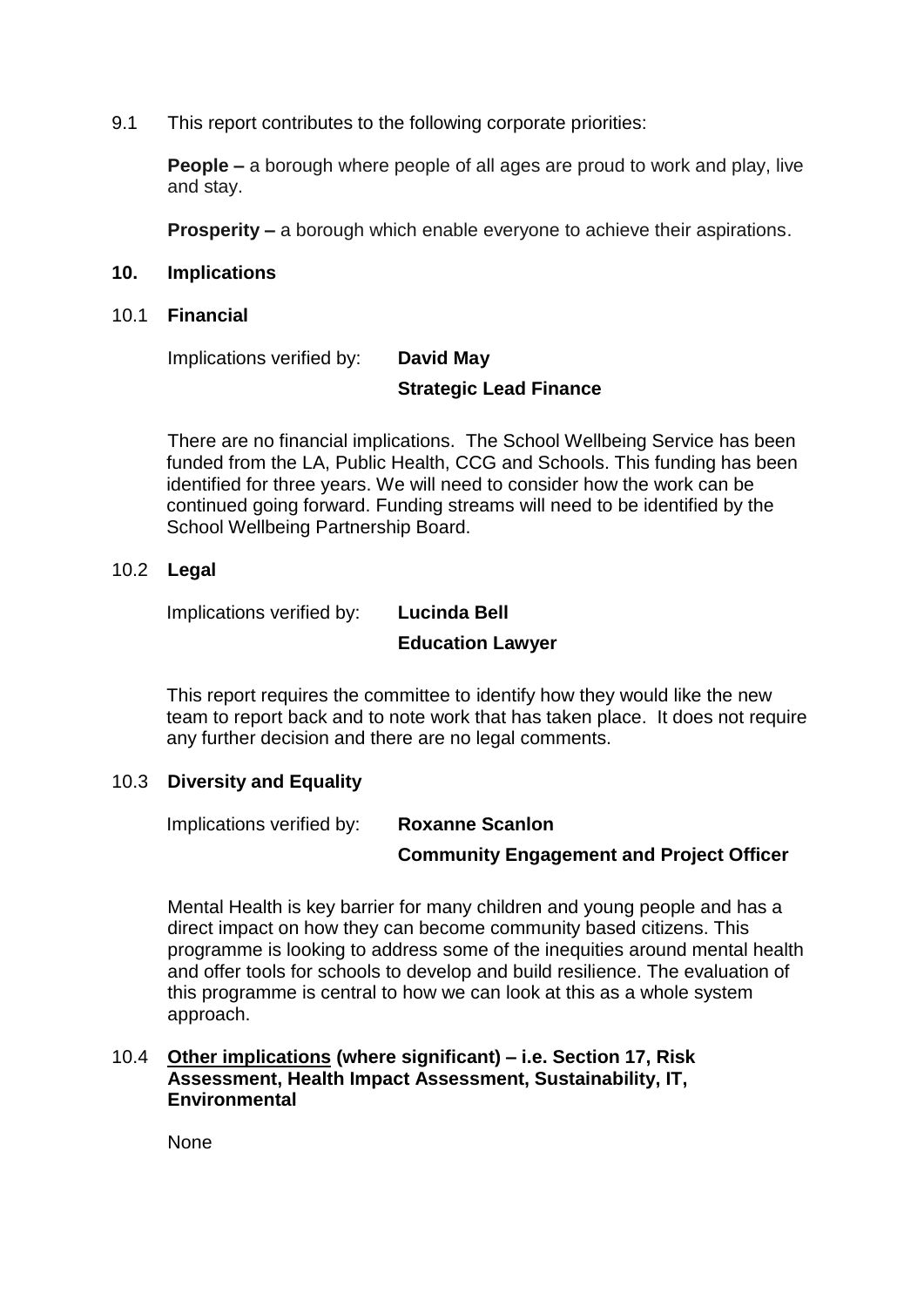9.1 This report contributes to the following corporate priorities:

**People –** a borough where people of all ages are proud to work and play, live and stay.

**Prosperity –** a borough which enable everyone to achieve their aspirations.

#### **10. Implications**

10.1 **Financial** 

Implications verified by: **David May** 

### **Strategic Lead Finance**

There are no financial implications. The School Wellbeing Service has been funded from the LA, Public Health, CCG and Schools. This funding has been identified for three years. We will need to consider how the work can be continued going forward. Funding streams will need to be identified by the School Wellbeing Partnership Board.

### 10.2 **Legal**

Implications verified by: **Lucinda Bell**

# **Education Lawyer**

This report requires the committee to identify how they would like the new team to report back and to note work that has taken place. It does not require any further decision and there are no legal comments.

### 10.3 **Diversity and Equality**

Implications verified by: **Roxanne Scanlon**

### **Community Engagement and Project Officer**

Mental Health is key barrier for many children and young people and has a direct impact on how they can become community based citizens. This programme is looking to address some of the inequities around mental health and offer tools for schools to develop and build resilience. The evaluation of this programme is central to how we can look at this as a whole system approach.

### 10.4 **Other implications (where significant) – i.e. Section 17, Risk Assessment, Health Impact Assessment, Sustainability, IT, Environmental**

None